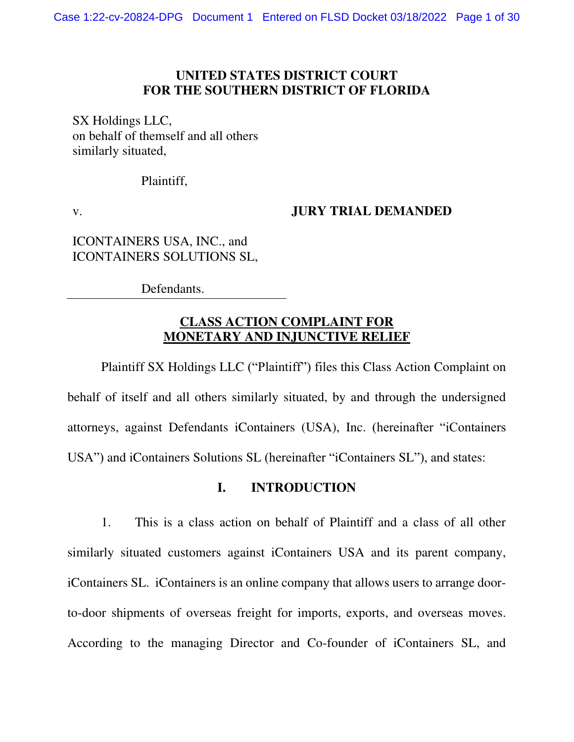## **UNITED STATES DISTRICT COURT FOR THE SOUTHERN DISTRICT OF FLORIDA**

SX Holdings LLC, on behalf of themself and all others similarly situated,

Plaintiff,

v.

### **JURY TRIAL DEMANDED**

ICONTAINERS USA, INC., and ICONTAINERS SOLUTIONS SL,

Defendants.

## **CLASS ACTION COMPLAINT FOR MONETARY AND INJUNCTIVE RELIEF**

Plaintiff SX Holdings LLC ("Plaintiff") files this Class Action Complaint on behalf of itself and all others similarly situated, by and through the undersigned attorneys, against Defendants iContainers (USA), Inc. (hereinafter "iContainers USA") and iContainers Solutions SL (hereinafter "iContainers SL"), and states:

## **I. INTRODUCTION**

1. This is a class action on behalf of Plaintiff and a class of all other similarly situated customers against iContainers USA and its parent company, iContainers SL. iContainers is an online company that allows users to arrange doorto-door shipments of overseas freight for imports, exports, and overseas moves. According to the managing Director and Co-founder of iContainers SL, and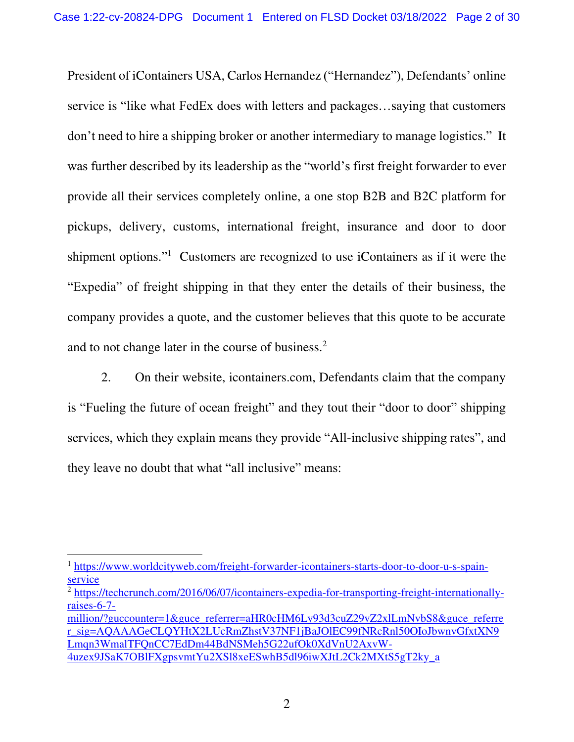President of iContainers USA, Carlos Hernandez ("Hernandez"), Defendants' online service is "like what FedEx does with letters and packages…saying that customers don't need to hire a shipping broker or another intermediary to manage logistics." It was further described by its leadership as the "world's first freight forwarder to ever provide all their services completely online, a one stop B2B and B2C platform for pickups, delivery, customs, international freight, insurance and door to door shipment options."<sup>1</sup> Customers are recognized to use iContainers as if it were the "Expedia" of freight shipping in that they enter the details of their business, the company provides a quote, and the customer believes that this quote to be accurate and to not change later in the course of business.<sup>2</sup>

2. On their website, icontainers.com, Defendants claim that the company is "Fueling the future of ocean freight" and they tout their "door to door" shipping services, which they explain means they provide "All-inclusive shipping rates", and they leave no doubt that what "all inclusive" means:

<sup>&</sup>lt;sup>1</sup> [https://www.worldcityweb.com/freight-forwarder-icontainers-starts-door-to-door-u-s-spain](https://www.worldcityweb.com/freight-forwarder-icontainers-starts-door-to-door-u-s-spain-service)[service](https://www.worldcityweb.com/freight-forwarder-icontainers-starts-door-to-door-u-s-spain-service) 

<sup>&</sup>lt;sup>2</sup> [https://techcrunch.com/2016/06/07/icontainers-expedia-for-transporting-freight-internationally](https://techcrunch.com/2016/06/07/icontainers-expedia-for-transporting-freight-internationally-raises-6-7-million/?guccounter=1&guce_referrer=aHR0cHM6Ly93d3cuZ29vZ2xlLmNvbS8&guce_referrer_sig=AQAAAGeCLQYHtX2LUcRmZhstV37NF1jBaJOlEC99fNRcRnl50OIoJbwnvGfxtXN9Lmqn3WmalTFQnCC7EdDm44BdNSMeh5G22ufOk0XdVnU2AxvW-4uzex9JSaK7OBlFXgpsvmtYu2XSl8xeESwhB5dl96iwXJtL2Ck2MXtS5gT2ky_a)[raises-6-7-](https://techcrunch.com/2016/06/07/icontainers-expedia-for-transporting-freight-internationally-raises-6-7-million/?guccounter=1&guce_referrer=aHR0cHM6Ly93d3cuZ29vZ2xlLmNvbS8&guce_referrer_sig=AQAAAGeCLQYHtX2LUcRmZhstV37NF1jBaJOlEC99fNRcRnl50OIoJbwnvGfxtXN9Lmqn3WmalTFQnCC7EdDm44BdNSMeh5G22ufOk0XdVnU2AxvW-4uzex9JSaK7OBlFXgpsvmtYu2XSl8xeESwhB5dl96iwXJtL2Ck2MXtS5gT2ky_a)

[million/?guccounter=1&guce\\_referrer=aHR0cHM6Ly93d3cuZ29vZ2xlLmNvbS8&guce\\_referre](https://techcrunch.com/2016/06/07/icontainers-expedia-for-transporting-freight-internationally-raises-6-7-million/?guccounter=1&guce_referrer=aHR0cHM6Ly93d3cuZ29vZ2xlLmNvbS8&guce_referrer_sig=AQAAAGeCLQYHtX2LUcRmZhstV37NF1jBaJOlEC99fNRcRnl50OIoJbwnvGfxtXN9Lmqn3WmalTFQnCC7EdDm44BdNSMeh5G22ufOk0XdVnU2AxvW-4uzex9JSaK7OBlFXgpsvmtYu2XSl8xeESwhB5dl96iwXJtL2Ck2MXtS5gT2ky_a) [r\\_sig=AQAAAGeCLQYHtX2LUcRmZhstV37NF1jBaJOlEC99fNRcRnl50OIoJbwnvGfxtXN9](https://techcrunch.com/2016/06/07/icontainers-expedia-for-transporting-freight-internationally-raises-6-7-million/?guccounter=1&guce_referrer=aHR0cHM6Ly93d3cuZ29vZ2xlLmNvbS8&guce_referrer_sig=AQAAAGeCLQYHtX2LUcRmZhstV37NF1jBaJOlEC99fNRcRnl50OIoJbwnvGfxtXN9Lmqn3WmalTFQnCC7EdDm44BdNSMeh5G22ufOk0XdVnU2AxvW-4uzex9JSaK7OBlFXgpsvmtYu2XSl8xeESwhB5dl96iwXJtL2Ck2MXtS5gT2ky_a) [Lmqn3WmalTFQnCC7EdDm44BdNSMeh5G22ufOk0XdVnU2AxvW-](https://techcrunch.com/2016/06/07/icontainers-expedia-for-transporting-freight-internationally-raises-6-7-million/?guccounter=1&guce_referrer=aHR0cHM6Ly93d3cuZ29vZ2xlLmNvbS8&guce_referrer_sig=AQAAAGeCLQYHtX2LUcRmZhstV37NF1jBaJOlEC99fNRcRnl50OIoJbwnvGfxtXN9Lmqn3WmalTFQnCC7EdDm44BdNSMeh5G22ufOk0XdVnU2AxvW-4uzex9JSaK7OBlFXgpsvmtYu2XSl8xeESwhB5dl96iwXJtL2Ck2MXtS5gT2ky_a)[4uzex9JSaK7OBlFXgpsvmtYu2XSl8xeESwhB5dl96iwXJtL2Ck2MXtS5gT2ky\\_a](https://techcrunch.com/2016/06/07/icontainers-expedia-for-transporting-freight-internationally-raises-6-7-million/?guccounter=1&guce_referrer=aHR0cHM6Ly93d3cuZ29vZ2xlLmNvbS8&guce_referrer_sig=AQAAAGeCLQYHtX2LUcRmZhstV37NF1jBaJOlEC99fNRcRnl50OIoJbwnvGfxtXN9Lmqn3WmalTFQnCC7EdDm44BdNSMeh5G22ufOk0XdVnU2AxvW-4uzex9JSaK7OBlFXgpsvmtYu2XSl8xeESwhB5dl96iwXJtL2Ck2MXtS5gT2ky_a)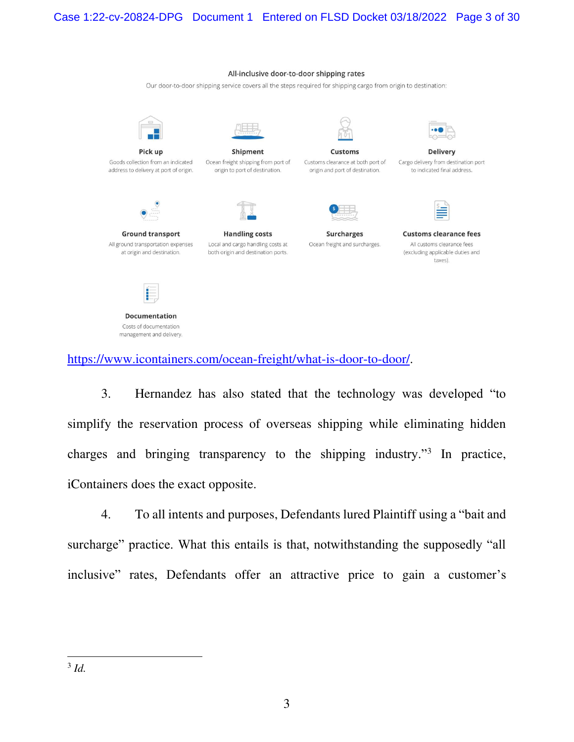#### All-inclusive door-to-door shipping rates

Our door-to-door shipping service covers all the steps required for shipping cargo from origin to destination:



Goods collection from an indicated address to delivery at port of origin.



Ocean freight shipping from port of origin to port of destination.



**Customs** Customs clearance at both port of origin and port of destination.



**Delivery** Cargo delivery from destination port to indicated final address.



**Ground transport** All ground transportation expenses at origin and destination.



Local and cargo handling costs at both origin and destination ports.



Ocean freight and surcharges.



**Customs clearance fees** All customs clearance fees (excluding applicable duties and taxes).



**Documentation** Costs of documentation management and delivery.

[https://www.icontainers.com/ocean-freight/what-is-door-to-door/.](https://www.icontainers.com/ocean-freight/what-is-door-to-door/)

3. Hernandez has also stated that the technology was developed "to simplify the reservation process of overseas shipping while eliminating hidden charges and bringing transparency to the shipping industry."<sup>3</sup> In practice, iContainers does the exact opposite.

4. To all intents and purposes, Defendants lured Plaintiff using a "bait and surcharge" practice. What this entails is that, notwithstanding the supposedly "all inclusive" rates, Defendants offer an attractive price to gain a customer's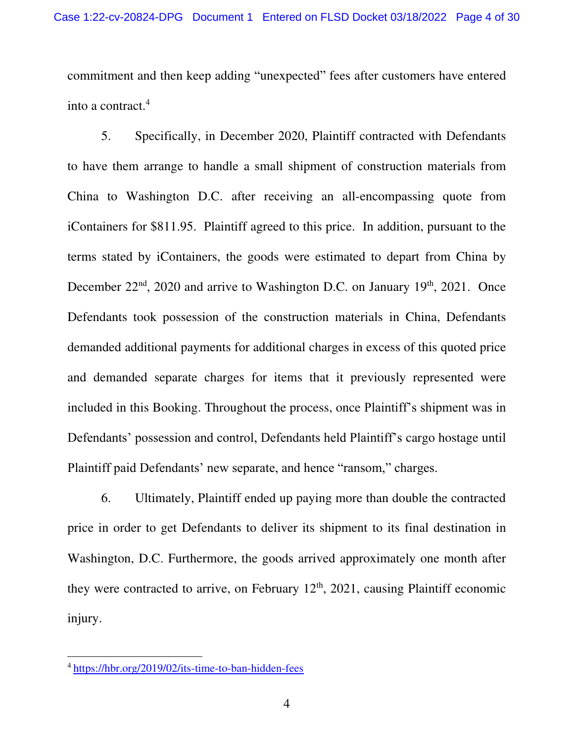commitment and then keep adding "unexpected" fees after customers have entered into a contract.<sup>4</sup>

5. Specifically, in December 2020, Plaintiff contracted with Defendants to have them arrange to handle a small shipment of construction materials from China to Washington D.C. after receiving an all-encompassing quote from iContainers for \$811.95. Plaintiff agreed to this price. In addition, pursuant to the terms stated by iContainers, the goods were estimated to depart from China by December 22<sup>nd</sup>, 2020 and arrive to Washington D.C. on January 19<sup>th</sup>, 2021. Once Defendants took possession of the construction materials in China, Defendants demanded additional payments for additional charges in excess of this quoted price and demanded separate charges for items that it previously represented were included in this Booking. Throughout the process, once Plaintiff's shipment was in Defendants' possession and control, Defendants held Plaintiff's cargo hostage until Plaintiff paid Defendants' new separate, and hence "ransom," charges.

6. Ultimately, Plaintiff ended up paying more than double the contracted price in order to get Defendants to deliver its shipment to its final destination in Washington, D.C. Furthermore, the goods arrived approximately one month after they were contracted to arrive, on February  $12<sup>th</sup>$ ,  $2021$ , causing Plaintiff economic injury.

<sup>4</sup> <https://hbr.org/2019/02/its-time-to-ban-hidden-fees>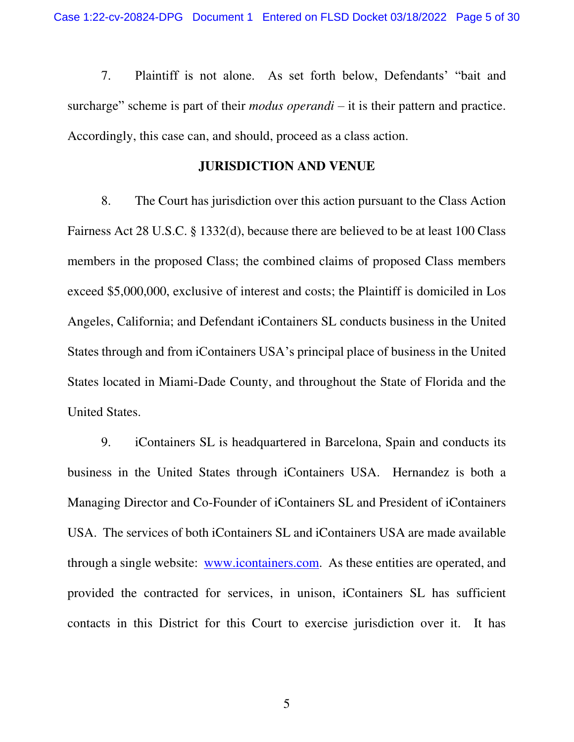7. Plaintiff is not alone. As set forth below, Defendants' "bait and surcharge" scheme is part of their *modus operandi* – it is their pattern and practice. Accordingly, this case can, and should, proceed as a class action.

## **JURISDICTION AND VENUE**

8. The Court has jurisdiction over this action pursuant to the Class Action Fairness Act 28 U.S.C. § 1332(d), because there are believed to be at least 100 Class members in the proposed Class; the combined claims of proposed Class members exceed \$5,000,000, exclusive of interest and costs; the Plaintiff is domiciled in Los Angeles, California; and Defendant iContainers SL conducts business in the United States through and from iContainers USA's principal place of business in the United States located in Miami-Dade County, and throughout the State of Florida and the United States.

9. iContainers SL is headquartered in Barcelona, Spain and conducts its business in the United States through iContainers USA. Hernandez is both a Managing Director and Co-Founder of iContainers SL and President of iContainers USA. The services of both iContainers SL and iContainers USA are made available through a single website: [www.icontainers.com.](http://www.icontainers.com/) As these entities are operated, and provided the contracted for services, in unison, iContainers SL has sufficient contacts in this District for this Court to exercise jurisdiction over it. It has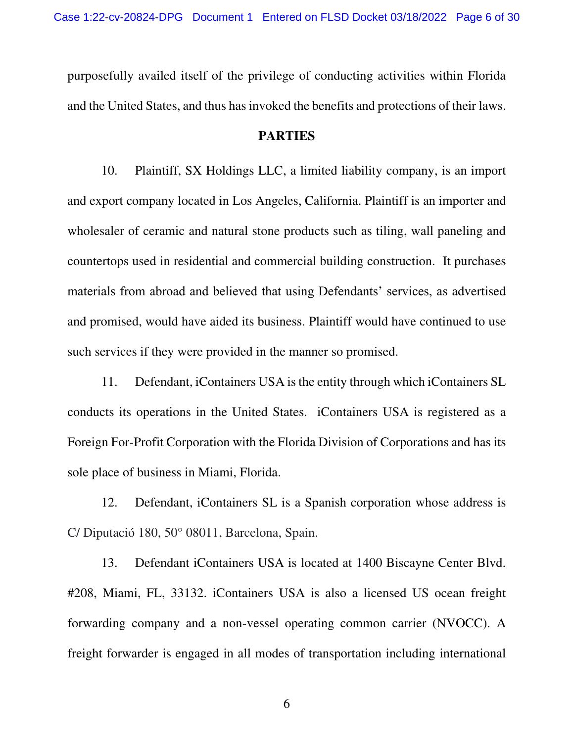purposefully availed itself of the privilege of conducting activities within Florida and the United States, and thus has invoked the benefits and protections of their laws.

#### **PARTIES**

10. Plaintiff, SX Holdings LLC, a limited liability company, is an import and export company located in Los Angeles, California. Plaintiff is an importer and wholesaler of ceramic and natural stone products such as tiling, wall paneling and countertops used in residential and commercial building construction. It purchases materials from abroad and believed that using Defendants' services, as advertised and promised, would have aided its business. Plaintiff would have continued to use such services if they were provided in the manner so promised.

11. Defendant, iContainers USA is the entity through which iContainers SL conducts its operations in the United States. iContainers USA is registered as a Foreign For-Profit Corporation with the Florida Division of Corporations and has its sole place of business in Miami, Florida.

12. Defendant, iContainers SL is a Spanish corporation whose address is C/ Diputació 180, 50° 08011, Barcelona, Spain.

13. Defendant iContainers USA is located at 1400 Biscayne Center Blvd. #208, Miami, FL, 33132. iContainers USA is also a licensed US ocean freight forwarding company and a non-vessel operating common carrier (NVOCC). A freight forwarder is engaged in all modes of transportation including international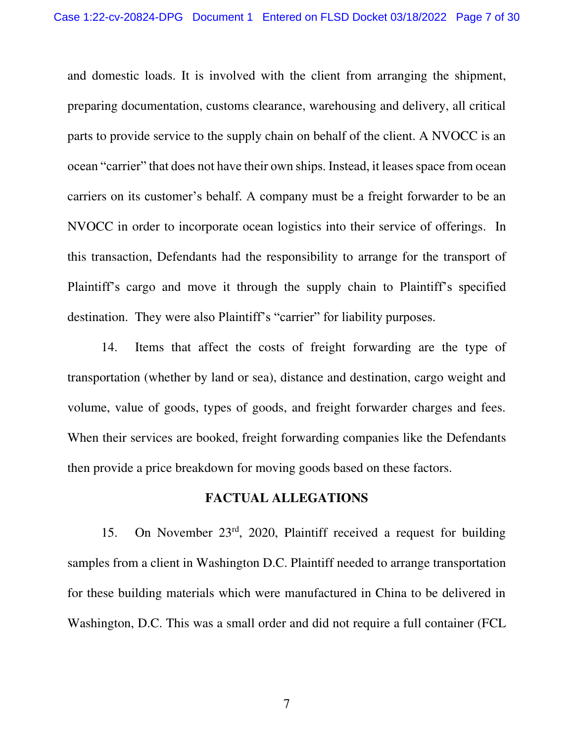and domestic loads. It is involved with the client from arranging the shipment, preparing documentation, customs clearance, warehousing and delivery, all critical parts to provide service to the supply chain on behalf of the client. A NVOCC is an ocean "carrier" that does not have their own ships. Instead, it leases space from ocean carriers on its customer's behalf. A company must be a freight forwarder to be an NVOCC in order to incorporate ocean logistics into their service of offerings. In this transaction, Defendants had the responsibility to arrange for the transport of Plaintiff's cargo and move it through the supply chain to Plaintiff's specified destination. They were also Plaintiff's "carrier" for liability purposes.

14. Items that affect the costs of freight forwarding are the type of transportation (whether by land or sea), distance and destination, cargo weight and volume, value of goods, types of goods, and freight forwarder charges and fees. When their services are booked, freight forwarding companies like the Defendants then provide a price breakdown for moving goods based on these factors.

#### **FACTUAL ALLEGATIONS**

15. On November 23rd, 2020, Plaintiff received a request for building samples from a client in Washington D.C. Plaintiff needed to arrange transportation for these building materials which were manufactured in China to be delivered in Washington, D.C. This was a small order and did not require a full container (FCL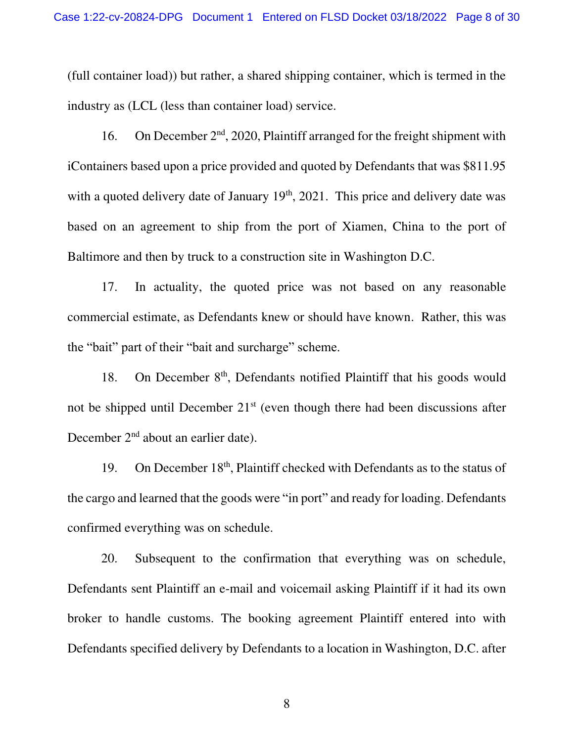(full container load)) but rather, a shared shipping container, which is termed in the industry as (LCL (less than container load) service.

16. On December  $2<sup>nd</sup>$ , 2020, Plaintiff arranged for the freight shipment with iContainers based upon a price provided and quoted by Defendants that was \$811.95 with a quoted delivery date of January  $19<sup>th</sup>$ ,  $2021$ . This price and delivery date was based on an agreement to ship from the port of Xiamen, China to the port of Baltimore and then by truck to a construction site in Washington D.C.

17. In actuality, the quoted price was not based on any reasonable commercial estimate, as Defendants knew or should have known. Rather, this was the "bait" part of their "bait and surcharge" scheme.

18. On December 8<sup>th</sup>, Defendants notified Plaintiff that his goods would not be shipped until December  $21<sup>st</sup>$  (even though there had been discussions after December 2<sup>nd</sup> about an earlier date).

19. On December 18<sup>th</sup>, Plaintiff checked with Defendants as to the status of the cargo and learned that the goods were "in port" and ready for loading. Defendants confirmed everything was on schedule.

20. Subsequent to the confirmation that everything was on schedule, Defendants sent Plaintiff an e-mail and voicemail asking Plaintiff if it had its own broker to handle customs. The booking agreement Plaintiff entered into with Defendants specified delivery by Defendants to a location in Washington, D.C. after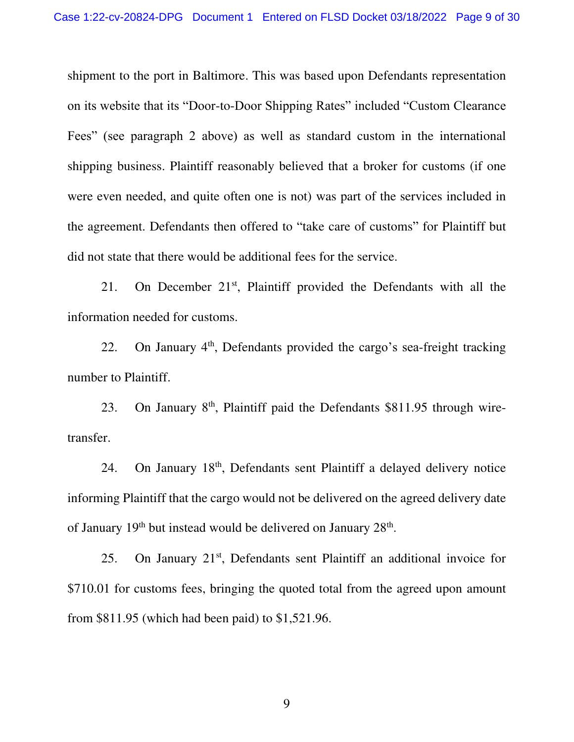shipment to the port in Baltimore. This was based upon Defendants representation on its website that its "Door-to-Door Shipping Rates" included "Custom Clearance Fees" (see paragraph 2 above) as well as standard custom in the international shipping business. Plaintiff reasonably believed that a broker for customs (if one were even needed, and quite often one is not) was part of the services included in the agreement. Defendants then offered to "take care of customs" for Plaintiff but did not state that there would be additional fees for the service.

21. On December 21<sup>st</sup>, Plaintiff provided the Defendants with all the information needed for customs.

22. On January 4<sup>th</sup>, Defendants provided the cargo's sea-freight tracking number to Plaintiff.

23. On January 8<sup>th</sup>, Plaintiff paid the Defendants \$811.95 through wiretransfer.

24. On January 18<sup>th</sup>, Defendants sent Plaintiff a delayed delivery notice informing Plaintiff that the cargo would not be delivered on the agreed delivery date of January  $19<sup>th</sup>$  but instead would be delivered on January  $28<sup>th</sup>$ .

25. On January  $21<sup>st</sup>$ , Defendants sent Plaintiff an additional invoice for \$710.01 for customs fees, bringing the quoted total from the agreed upon amount from \$811.95 (which had been paid) to \$1,521.96.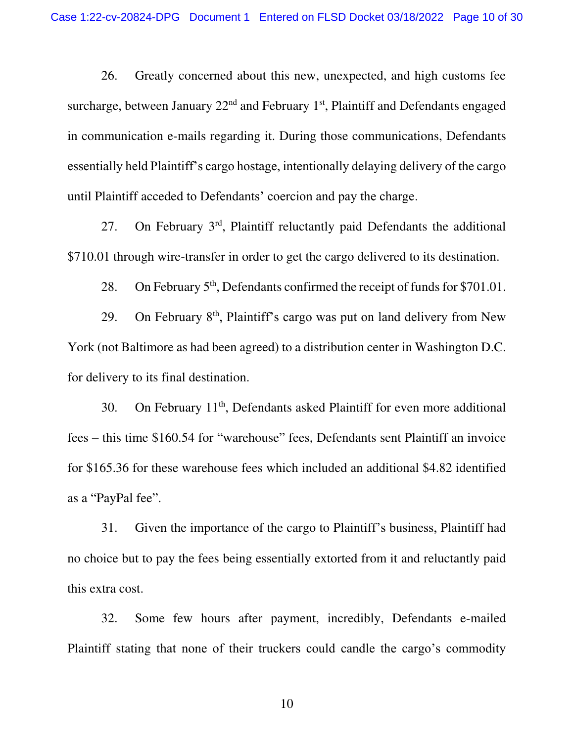26. Greatly concerned about this new, unexpected, and high customs fee surcharge, between January  $22<sup>nd</sup>$  and February 1<sup>st</sup>, Plaintiff and Defendants engaged in communication e-mails regarding it. During those communications, Defendants essentially held Plaintiff's cargo hostage, intentionally delaying delivery of the cargo until Plaintiff acceded to Defendants' coercion and pay the charge.

27. On February 3rd, Plaintiff reluctantly paid Defendants the additional \$710.01 through wire-transfer in order to get the cargo delivered to its destination.

28. On February  $5<sup>th</sup>$ , Defendants confirmed the receipt of funds for \$701.01.

29. On February  $8<sup>th</sup>$ , Plaintiff's cargo was put on land delivery from New York (not Baltimore as had been agreed) to a distribution center in Washington D.C. for delivery to its final destination.

30. On February 11<sup>th</sup>, Defendants asked Plaintiff for even more additional fees – this time \$160.54 for "warehouse" fees, Defendants sent Plaintiff an invoice for \$165.36 for these warehouse fees which included an additional \$4.82 identified as a "PayPal fee".

31. Given the importance of the cargo to Plaintiff's business, Plaintiff had no choice but to pay the fees being essentially extorted from it and reluctantly paid this extra cost.

32. Some few hours after payment, incredibly, Defendants e-mailed Plaintiff stating that none of their truckers could candle the cargo's commodity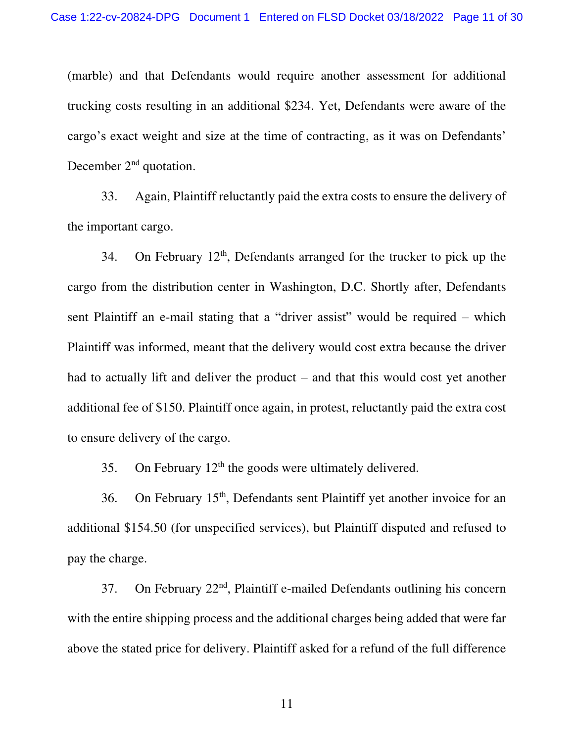(marble) and that Defendants would require another assessment for additional trucking costs resulting in an additional \$234. Yet, Defendants were aware of the cargo's exact weight and size at the time of contracting, as it was on Defendants' December 2<sup>nd</sup> quotation.

33. Again, Plaintiff reluctantly paid the extra costs to ensure the delivery of the important cargo.

34. On February  $12<sup>th</sup>$ , Defendants arranged for the trucker to pick up the cargo from the distribution center in Washington, D.C. Shortly after, Defendants sent Plaintiff an e-mail stating that a "driver assist" would be required – which Plaintiff was informed, meant that the delivery would cost extra because the driver had to actually lift and deliver the product – and that this would cost yet another additional fee of \$150. Plaintiff once again, in protest, reluctantly paid the extra cost to ensure delivery of the cargo.

35. On February  $12<sup>th</sup>$  the goods were ultimately delivered.

36. On February 15th, Defendants sent Plaintiff yet another invoice for an additional \$154.50 (for unspecified services), but Plaintiff disputed and refused to pay the charge.

37. On February 22<sup>nd</sup>, Plaintiff e-mailed Defendants outlining his concern with the entire shipping process and the additional charges being added that were far above the stated price for delivery. Plaintiff asked for a refund of the full difference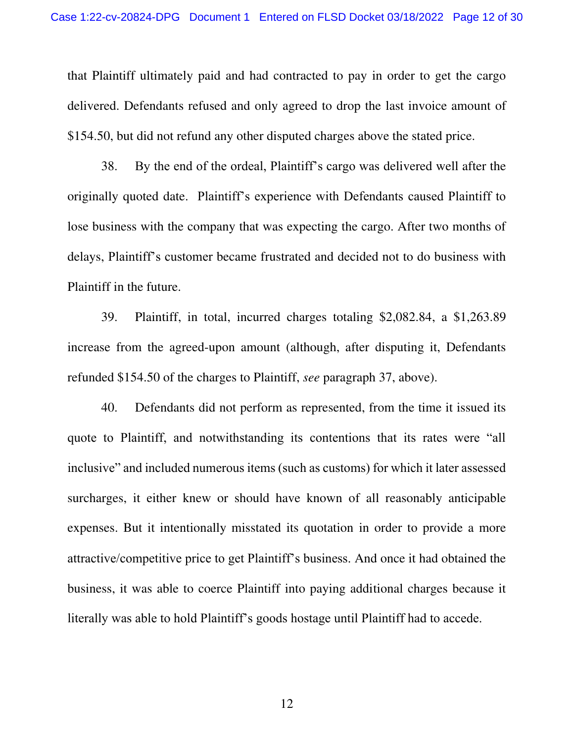that Plaintiff ultimately paid and had contracted to pay in order to get the cargo delivered. Defendants refused and only agreed to drop the last invoice amount of \$154.50, but did not refund any other disputed charges above the stated price.

38. By the end of the ordeal, Plaintiff's cargo was delivered well after the originally quoted date. Plaintiff's experience with Defendants caused Plaintiff to lose business with the company that was expecting the cargo. After two months of delays, Plaintiff's customer became frustrated and decided not to do business with Plaintiff in the future.

39. Plaintiff, in total, incurred charges totaling \$2,082.84, a \$1,263.89 increase from the agreed-upon amount (although, after disputing it, Defendants refunded \$154.50 of the charges to Plaintiff, *see* paragraph 37, above).

40. Defendants did not perform as represented, from the time it issued its quote to Plaintiff, and notwithstanding its contentions that its rates were "all inclusive" and included numerous items (such as customs) for which it later assessed surcharges, it either knew or should have known of all reasonably anticipable expenses. But it intentionally misstated its quotation in order to provide a more attractive/competitive price to get Plaintiff's business. And once it had obtained the business, it was able to coerce Plaintiff into paying additional charges because it literally was able to hold Plaintiff's goods hostage until Plaintiff had to accede.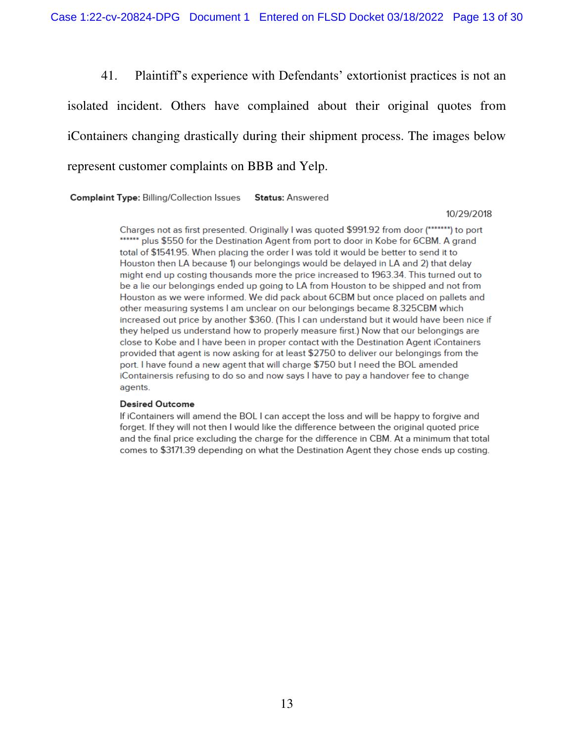41. Plaintiff's experience with Defendants' extortionist practices is not an

isolated incident. Others have complained about their original quotes from iContainers changing drastically during their shipment process. The images below represent customer complaints on BBB and Yelp.

**Complaint Type: Billing/Collection Issues Status: Answered** 

#### 10/29/2018

Charges not as first presented. Originally I was guoted \$991.92 from door (\*\*\*\*\*\*\*) to port \*\*\*\*\*\* plus \$550 for the Destination Agent from port to door in Kobe for 6CBM. A grand total of \$1541.95. When placing the order I was told it would be better to send it to Houston then LA because 1) our belongings would be delayed in LA and 2) that delay might end up costing thousands more the price increased to 1963.34. This turned out to be a lie our belongings ended up going to LA from Houston to be shipped and not from Houston as we were informed. We did pack about 6CBM but once placed on pallets and other measuring systems I am unclear on our belongings became 8.325CBM which increased out price by another \$360. (This I can understand but it would have been nice if they helped us understand how to properly measure first.) Now that our belongings are close to Kobe and I have been in proper contact with the Destination Agent iContainers provided that agent is now asking for at least \$2750 to deliver our belongings from the port. I have found a new agent that will charge \$750 but I need the BOL amended iContainersis refusing to do so and now says I have to pay a handover fee to change agents.

#### **Desired Outcome**

If iContainers will amend the BOL I can accept the loss and will be happy to forgive and forget. If they will not then I would like the difference between the original quoted price and the final price excluding the charge for the difference in CBM. At a minimum that total comes to \$3171.39 depending on what the Destination Agent they chose ends up costing.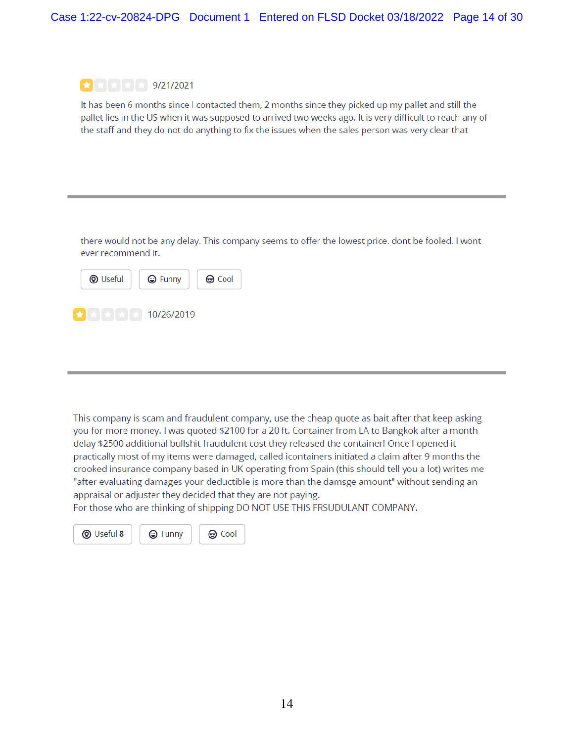

It has been 6 months since I contacted them, 2 months since they picked up my pallet and still the pallet lies in the US when it was supposed to arrived two weeks ago. It is very difficult to reach any of the staff and they do not do anything to fix the issues when the sales person was very clear that

there would not be any delay. This company seems to offer the lowest price. dont be fooled. I wont ever recommend it.

| <b>W</b> Useful |            | <b>⊝</b> Cool |
|-----------------|------------|---------------|
|                 | 10/26/2019 |               |

This company is scam and fraudulent company, use the cheap quote as bait after that keep asking you for more money. I was quoted \$2100 for a 20 ft. Container from LA to Bangkok after a month delay \$2500 additional bullshit fraudulent cost they released the container! Once I opened it practically most of my items were damaged, called icontainers initiated a claim after 9 months the crooked insurance company based in UK operating from Spain (this should tell you a lot) writes me "after evaluating damages your deductible is more than the damsge amount" without sending an appraisal or adjuster they decided that they are not paying.

For those who are thinking of shipping DO NOT USE THIS FRSUDULANT COMPANY.

**tool** 



**A** Funny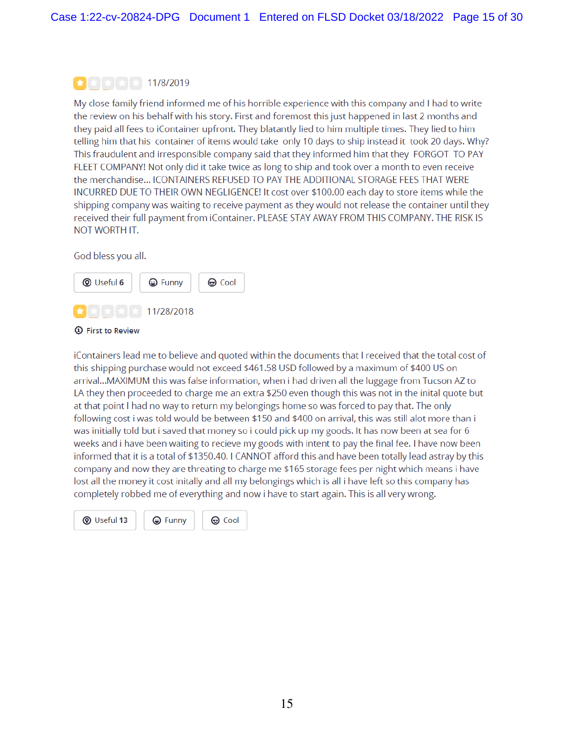### $\left| \frac{1}{2} \right|$   $\left| \frac{1}{2} \right|$   $\left| \frac{1}{2} \right|$  11/8/2019

My close family friend informed me of his horrible experience with this company and I had to write the review on his behalf with his story. First and foremost this just happened in last 2 months and they paid all fees to iContainer upfront. They blatantly lied to him multiple times. They lied to him telling him that his container of items would take only 10 days to ship instead it took 20 days. Why? This fraudulent and irresponsible company said that they informed him that they FORGOT TO PAY FLEET COMPANY! Not only did it take twice as long to ship and took over a month to even receive the merchandise... ICONTAINERS REFUSED TO PAY THE ADDITIONAL STORAGE FEES THAT WERE INCURRED DUE TO THEIR OWN NEGLIGENCE! It cost over \$100.00 each day to store items while the shipping company was waiting to receive payment as they would not release the container until they received their full payment from iContainer. PLEASE STAY AWAY FROM THIS COMPANY. THE RISK IS NOT WORTH IT.

God bless you all.





iContainers lead me to believe and quoted within the documents that I received that the total cost of this shipping purchase would not exceed \$461.58 USD followed by a maximum of \$400 US on arrival...MAXIMUM this was false information, when i had driven all the luggage from Tucson AZ to LA they then proceeded to charge me an extra \$250 even though this was not in the inital quote but at that point I had no way to return my belongings home so was forced to pay that. The only following cost i was told would be between \$150 and \$400 on arrival, this was still alot more than i was initially told but i saved that money so i could pick up my goods. It has now been at sea for 6 weeks and i have been waiting to recieve my goods with intent to pay the final fee. I have now been informed that it is a total of \$1350.40. I CANNOT afford this and have been totally lead astray by this company and now they are threating to charge me \$165 storage fees per night which means i have lost all the money it cost initally and all my belongings which is all i have left so this company has completely robbed me of everything and now i have to start again. This is all very wrong.

**W** Useful 13

**tool**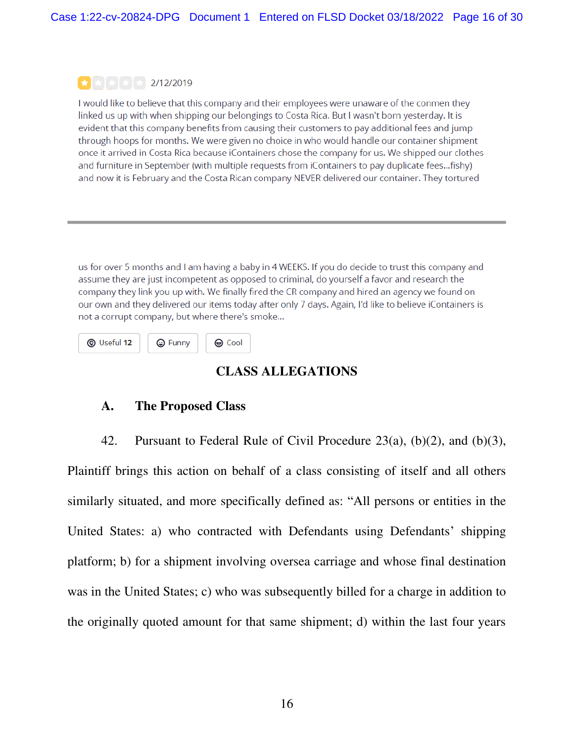## $\left| \frac{1}{2} \right|$   $\left| \frac{1}{2} \right|$   $\left| \frac{1}{2} \right|$  2/12/2019

I would like to believe that this company and their employees were unaware of the conmen they linked us up with when shipping our belongings to Costa Rica. But I wasn't born yesterday. It is evident that this company benefits from causing their customers to pay additional fees and jump through hoops for months. We were given no choice in who would handle our container shipment once it arrived in Costa Rica because iContainers chose the company for us. We shipped our clothes and furniture in September (with multiple requests from iContainers to pay duplicate fees...fishy) and now it is February and the Costa Rican company NEVER delivered our container. They tortured

us for over 5 months and I am having a baby in 4 WEEKS. If you do decide to trust this company and assume they are just incompetent as opposed to criminal, do yourself a favor and research the company they link you up with. We finally fired the CR company and hired an agency we found on our own and they delivered our items today after only 7 days. Again, I'd like to believe iContainers is not a corrupt company, but where there's smoke...

**W** Useful 12 **⊕** Cool 

# **CLASS ALLEGATIONS**

# **A. The Proposed Class**

42. Pursuant to Federal Rule of Civil Procedure  $23(a)$ ,  $(b)(2)$ , and  $(b)(3)$ ,

Plaintiff brings this action on behalf of a class consisting of itself and all others similarly situated, and more specifically defined as: "All persons or entities in the United States: a) who contracted with Defendants using Defendants' shipping platform; b) for a shipment involving oversea carriage and whose final destination was in the United States; c) who was subsequently billed for a charge in addition to the originally quoted amount for that same shipment; d) within the last four years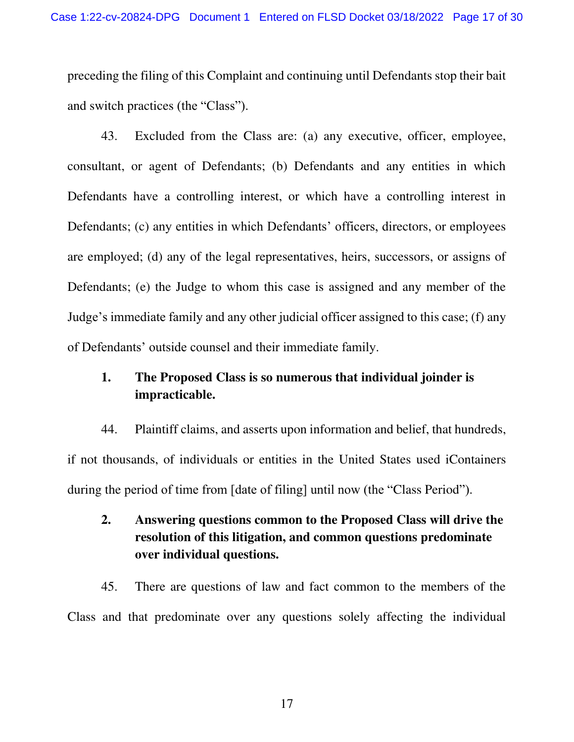preceding the filing of this Complaint and continuing until Defendants stop their bait and switch practices (the "Class").

43. Excluded from the Class are: (a) any executive, officer, employee, consultant, or agent of Defendants; (b) Defendants and any entities in which Defendants have a controlling interest, or which have a controlling interest in Defendants; (c) any entities in which Defendants' officers, directors, or employees are employed; (d) any of the legal representatives, heirs, successors, or assigns of Defendants; (e) the Judge to whom this case is assigned and any member of the Judge's immediate family and any other judicial officer assigned to this case; (f) any of Defendants' outside counsel and their immediate family.

# **1. The Proposed Class is so numerous that individual joinder is impracticable.**

44. Plaintiff claims, and asserts upon information and belief, that hundreds, if not thousands, of individuals or entities in the United States used iContainers during the period of time from [date of filing] until now (the "Class Period").

# **2. Answering questions common to the Proposed Class will drive the resolution of this litigation, and common questions predominate over individual questions.**

45. There are questions of law and fact common to the members of the Class and that predominate over any questions solely affecting the individual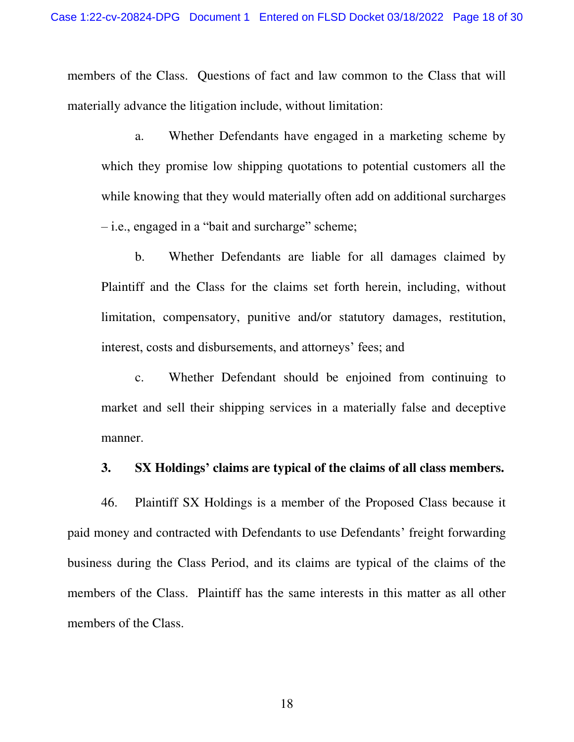members of the Class. Questions of fact and law common to the Class that will materially advance the litigation include, without limitation:

 a. Whether Defendants have engaged in a marketing scheme by which they promise low shipping quotations to potential customers all the while knowing that they would materially often add on additional surcharges – i.e., engaged in a "bait and surcharge" scheme;

b. Whether Defendants are liable for all damages claimed by Plaintiff and the Class for the claims set forth herein, including, without limitation, compensatory, punitive and/or statutory damages, restitution, interest, costs and disbursements, and attorneys' fees; and

c. Whether Defendant should be enjoined from continuing to market and sell their shipping services in a materially false and deceptive manner.

#### **3. SX Holdings' claims are typical of the claims of all class members.**

46. Plaintiff SX Holdings is a member of the Proposed Class because it paid money and contracted with Defendants to use Defendants' freight forwarding business during the Class Period, and its claims are typical of the claims of the members of the Class. Plaintiff has the same interests in this matter as all other members of the Class.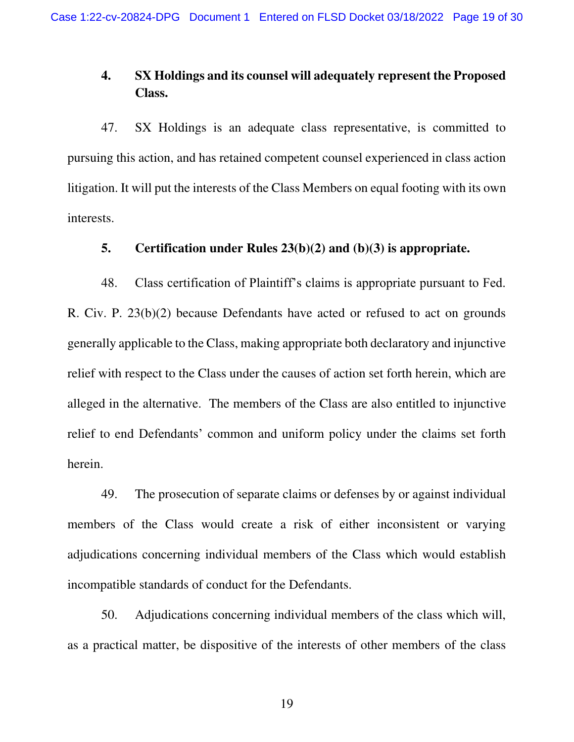# **4. SX Holdings and its counsel will adequately represent the Proposed Class.**

47. SX Holdings is an adequate class representative, is committed to pursuing this action, and has retained competent counsel experienced in class action litigation. It will put the interests of the Class Members on equal footing with its own interests.

## **5. Certification under Rules 23(b)(2) and (b)(3) is appropriate.**

48. Class certification of Plaintiff's claims is appropriate pursuant to Fed. R. Civ. P. 23(b)(2) because Defendants have acted or refused to act on grounds generally applicable to the Class, making appropriate both declaratory and injunctive relief with respect to the Class under the causes of action set forth herein, which are alleged in the alternative. The members of the Class are also entitled to injunctive relief to end Defendants' common and uniform policy under the claims set forth herein.

49. The prosecution of separate claims or defenses by or against individual members of the Class would create a risk of either inconsistent or varying adjudications concerning individual members of the Class which would establish incompatible standards of conduct for the Defendants.

50. Adjudications concerning individual members of the class which will, as a practical matter, be dispositive of the interests of other members of the class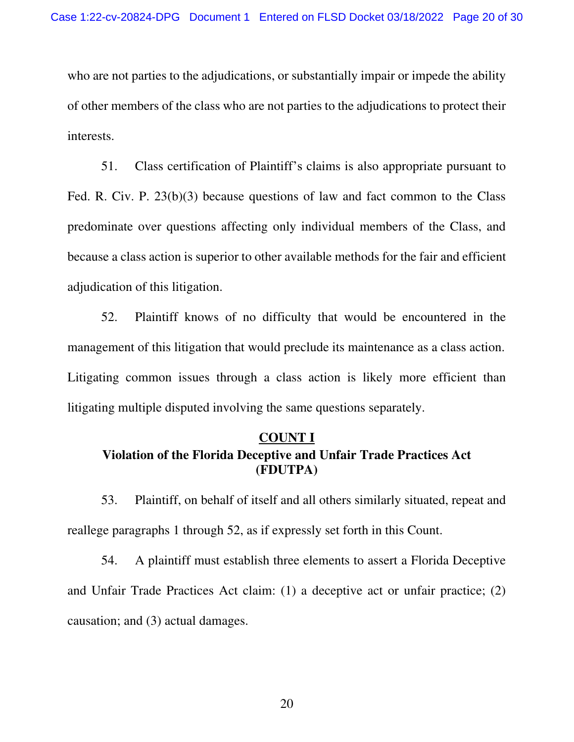who are not parties to the adjudications, or substantially impair or impede the ability of other members of the class who are not parties to the adjudications to protect their interests.

51. Class certification of Plaintiff's claims is also appropriate pursuant to Fed. R. Civ. P. 23(b)(3) because questions of law and fact common to the Class predominate over questions affecting only individual members of the Class, and because a class action is superior to other available methods for the fair and efficient adjudication of this litigation.

52. Plaintiff knows of no difficulty that would be encountered in the management of this litigation that would preclude its maintenance as a class action. Litigating common issues through a class action is likely more efficient than litigating multiple disputed involving the same questions separately.

# **COUNT I Violation of the Florida Deceptive and Unfair Trade Practices Act (FDUTPA)**

53. Plaintiff, on behalf of itself and all others similarly situated, repeat and reallege paragraphs 1 through 52, as if expressly set forth in this Count.

54. A plaintiff must establish three elements to assert a Florida Deceptive and Unfair Trade Practices Act claim: (1) a deceptive act or unfair practice; (2) causation; and (3) actual damages.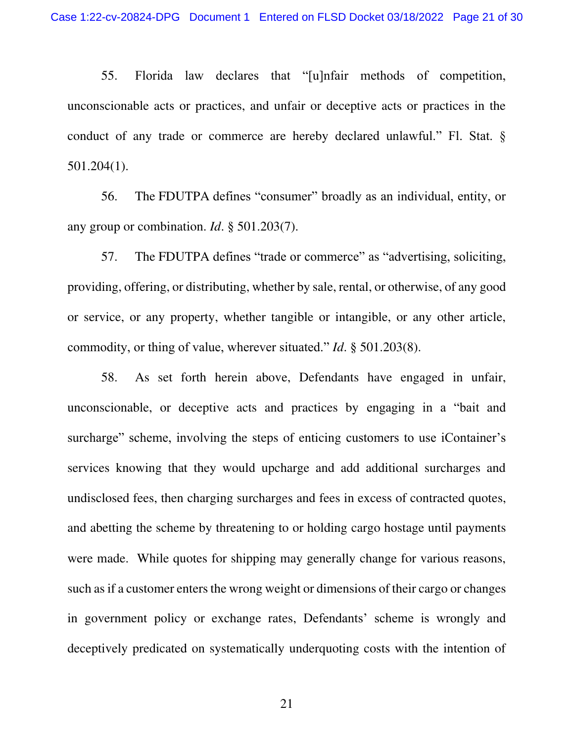55. Florida law declares that "[u]nfair methods of competition, unconscionable acts or practices, and unfair or deceptive acts or practices in the conduct of any trade or commerce are hereby declared unlawful." Fl. Stat. § 501.204(1).

56. The FDUTPA defines "consumer" broadly as an individual, entity, or any group or combination. *Id*. § 501.203(7).

57. The FDUTPA defines "trade or commerce" as "advertising, soliciting, providing, offering, or distributing, whether by sale, rental, or otherwise, of any good or service, or any property, whether tangible or intangible, or any other article, commodity, or thing of value, wherever situated." *Id*. § 501.203(8).

58. As set forth herein above, Defendants have engaged in unfair, unconscionable, or deceptive acts and practices by engaging in a "bait and surcharge" scheme, involving the steps of enticing customers to use iContainer's services knowing that they would upcharge and add additional surcharges and undisclosed fees, then charging surcharges and fees in excess of contracted quotes, and abetting the scheme by threatening to or holding cargo hostage until payments were made. While quotes for shipping may generally change for various reasons, such as if a customer enters the wrong weight or dimensions of their cargo or changes in government policy or exchange rates, Defendants' scheme is wrongly and deceptively predicated on systematically underquoting costs with the intention of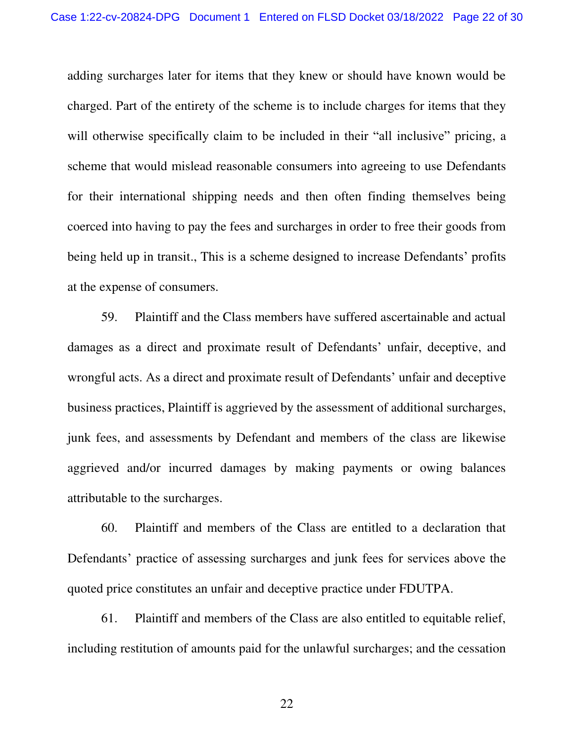adding surcharges later for items that they knew or should have known would be charged. Part of the entirety of the scheme is to include charges for items that they will otherwise specifically claim to be included in their "all inclusive" pricing, a scheme that would mislead reasonable consumers into agreeing to use Defendants for their international shipping needs and then often finding themselves being coerced into having to pay the fees and surcharges in order to free their goods from being held up in transit., This is a scheme designed to increase Defendants' profits at the expense of consumers.

59. Plaintiff and the Class members have suffered ascertainable and actual damages as a direct and proximate result of Defendants' unfair, deceptive, and wrongful acts. As a direct and proximate result of Defendants' unfair and deceptive business practices, Plaintiff is aggrieved by the assessment of additional surcharges, junk fees, and assessments by Defendant and members of the class are likewise aggrieved and/or incurred damages by making payments or owing balances attributable to the surcharges.

60. Plaintiff and members of the Class are entitled to a declaration that Defendants' practice of assessing surcharges and junk fees for services above the quoted price constitutes an unfair and deceptive practice under FDUTPA.

61. Plaintiff and members of the Class are also entitled to equitable relief, including restitution of amounts paid for the unlawful surcharges; and the cessation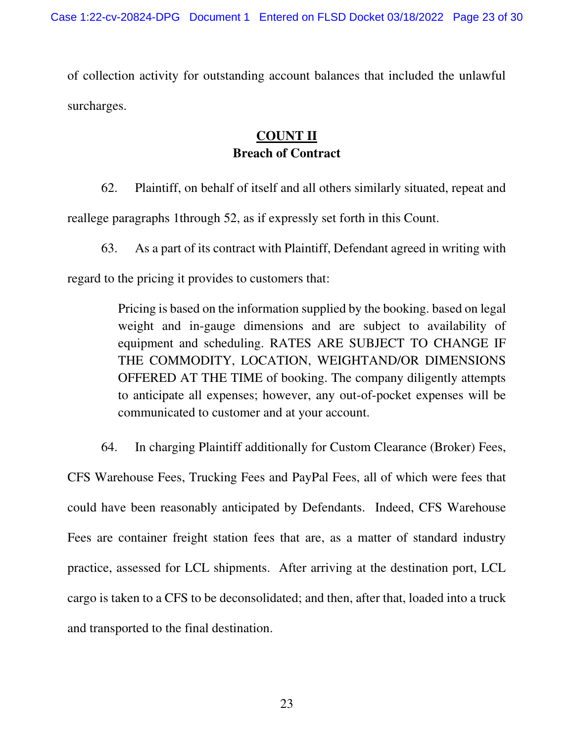of collection activity for outstanding account balances that included the unlawful surcharges.

# **COUNT II Breach of Contract**

62. Plaintiff, on behalf of itself and all others similarly situated, repeat and reallege paragraphs 1through 52, as if expressly set forth in this Count.

63. As a part of its contract with Plaintiff, Defendant agreed in writing with

regard to the pricing it provides to customers that:

Pricing is based on the information supplied by the booking. based on legal weight and in-gauge dimensions and are subject to availability of equipment and scheduling. RATES ARE SUBJECT TO CHANGE IF THE COMMODITY, LOCATION, WEIGHTAND/OR DIMENSIONS OFFERED AT THE TIME of booking. The company diligently attempts to anticipate all expenses; however, any out-of-pocket expenses will be communicated to customer and at your account.

64. In charging Plaintiff additionally for Custom Clearance (Broker) Fees, CFS Warehouse Fees, Trucking Fees and PayPal Fees, all of which were fees that could have been reasonably anticipated by Defendants. Indeed, CFS Warehouse Fees are container freight station fees that are, as a matter of standard industry practice, assessed for LCL shipments. After arriving at the destination port, LCL cargo is taken to a CFS to be deconsolidated; and then, after that, loaded into a truck and transported to the final destination.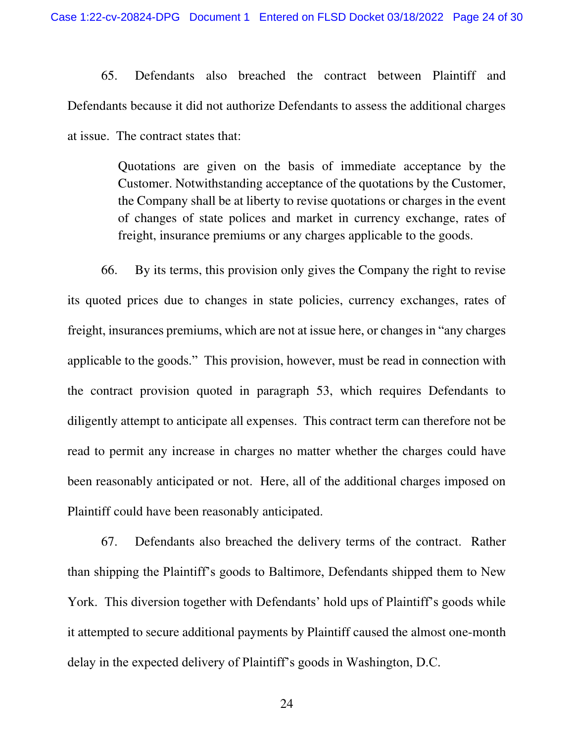65. Defendants also breached the contract between Plaintiff and Defendants because it did not authorize Defendants to assess the additional charges at issue. The contract states that:

> Quotations are given on the basis of immediate acceptance by the Customer. Notwithstanding acceptance of the quotations by the Customer, the Company shall be at liberty to revise quotations or charges in the event of changes of state polices and market in currency exchange, rates of freight, insurance premiums or any charges applicable to the goods.

66. By its terms, this provision only gives the Company the right to revise its quoted prices due to changes in state policies, currency exchanges, rates of freight, insurances premiums, which are not at issue here, or changes in "any charges applicable to the goods." This provision, however, must be read in connection with the contract provision quoted in paragraph 53, which requires Defendants to diligently attempt to anticipate all expenses. This contract term can therefore not be read to permit any increase in charges no matter whether the charges could have been reasonably anticipated or not. Here, all of the additional charges imposed on Plaintiff could have been reasonably anticipated.

67. Defendants also breached the delivery terms of the contract. Rather than shipping the Plaintiff's goods to Baltimore, Defendants shipped them to New York. This diversion together with Defendants' hold ups of Plaintiff's goods while it attempted to secure additional payments by Plaintiff caused the almost one-month delay in the expected delivery of Plaintiff's goods in Washington, D.C.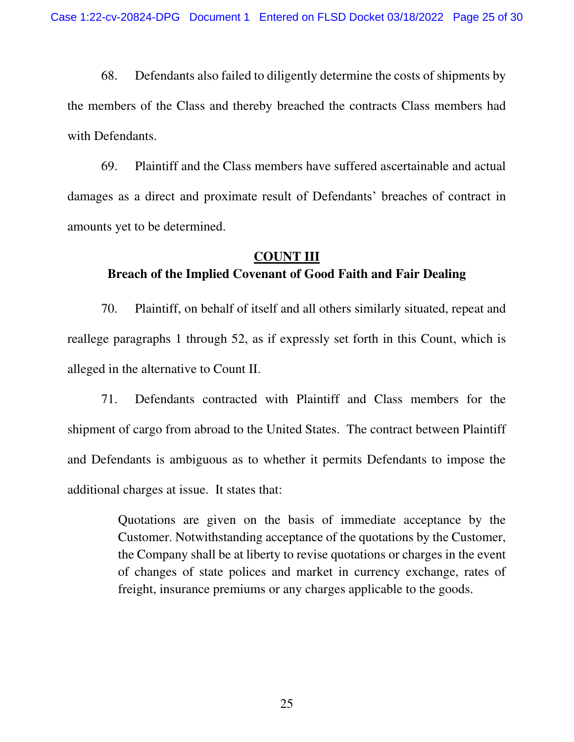68. Defendants also failed to diligently determine the costs of shipments by the members of the Class and thereby breached the contracts Class members had with Defendants.

69. Plaintiff and the Class members have suffered ascertainable and actual damages as a direct and proximate result of Defendants' breaches of contract in amounts yet to be determined.

#### **COUNT III**

## **Breach of the Implied Covenant of Good Faith and Fair Dealing**

70. Plaintiff, on behalf of itself and all others similarly situated, repeat and reallege paragraphs 1 through 52, as if expressly set forth in this Count, which is alleged in the alternative to Count II.

71. Defendants contracted with Plaintiff and Class members for the shipment of cargo from abroad to the United States. The contract between Plaintiff and Defendants is ambiguous as to whether it permits Defendants to impose the additional charges at issue. It states that:

> Quotations are given on the basis of immediate acceptance by the Customer. Notwithstanding acceptance of the quotations by the Customer, the Company shall be at liberty to revise quotations or charges in the event of changes of state polices and market in currency exchange, rates of freight, insurance premiums or any charges applicable to the goods.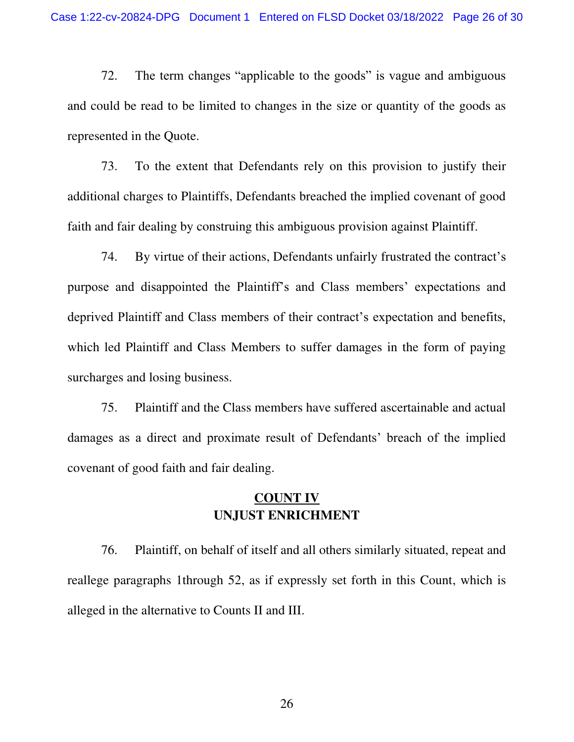72. The term changes "applicable to the goods" is vague and ambiguous and could be read to be limited to changes in the size or quantity of the goods as represented in the Quote.

73. To the extent that Defendants rely on this provision to justify their additional charges to Plaintiffs, Defendants breached the implied covenant of good faith and fair dealing by construing this ambiguous provision against Plaintiff.

74. By virtue of their actions, Defendants unfairly frustrated the contract's purpose and disappointed the Plaintiff's and Class members' expectations and deprived Plaintiff and Class members of their contract's expectation and benefits, which led Plaintiff and Class Members to suffer damages in the form of paying surcharges and losing business.

75. Plaintiff and the Class members have suffered ascertainable and actual damages as a direct and proximate result of Defendants' breach of the implied covenant of good faith and fair dealing.

## **COUNT IV UNJUST ENRICHMENT**

76. Plaintiff, on behalf of itself and all others similarly situated, repeat and reallege paragraphs 1through 52, as if expressly set forth in this Count, which is alleged in the alternative to Counts II and III.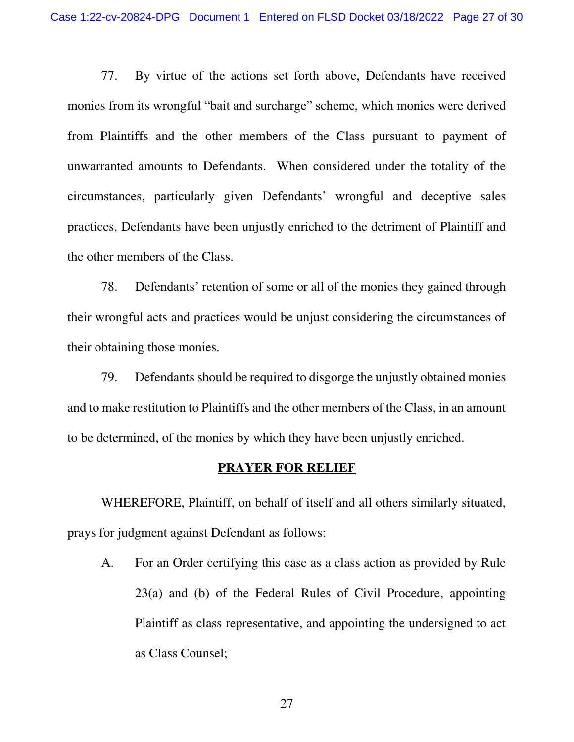77. By virtue of the actions set forth above, Defendants have received monies from its wrongful "bait and surcharge" scheme, which monies were derived from Plaintiffs and the other members of the Class pursuant to payment of unwarranted amounts to Defendants. When considered under the totality of the circumstances, particularly given Defendants' wrongful and deceptive sales practices, Defendants have been unjustly enriched to the detriment of Plaintiff and the other members of the Class.

78. Defendants' retention of some or all of the monies they gained through their wrongful acts and practices would be unjust considering the circumstances of their obtaining those monies.

79. Defendants should be required to disgorge the unjustly obtained monies and to make restitution to Plaintiffs and the other members of the Class, in an amount to be determined, of the monies by which they have been unjustly enriched.

## **PRAYER FOR RELIEF**

WHEREFORE, Plaintiff, on behalf of itself and all others similarly situated, prays for judgment against Defendant as follows:

A. For an Order certifying this case as a class action as provided by Rule 23(a) and (b) of the Federal Rules of Civil Procedure, appointing Plaintiff as class representative, and appointing the undersigned to act as Class Counsel;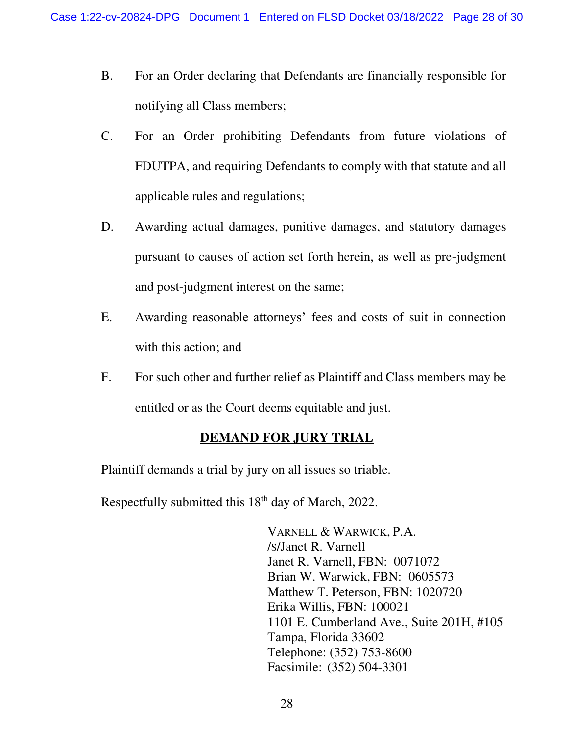- B. For an Order declaring that Defendants are financially responsible for notifying all Class members;
- C. For an Order prohibiting Defendants from future violations of FDUTPA, and requiring Defendants to comply with that statute and all applicable rules and regulations;
- D. Awarding actual damages, punitive damages, and statutory damages pursuant to causes of action set forth herein, as well as pre-judgment and post-judgment interest on the same;
- E. Awarding reasonable attorneys' fees and costs of suit in connection with this action; and
- F. For such other and further relief as Plaintiff and Class members may be entitled or as the Court deems equitable and just.

# **DEMAND FOR JURY TRIAL**

Plaintiff demands a trial by jury on all issues so triable.

Respectfully submitted this  $18<sup>th</sup>$  day of March, 2022.

VARNELL & WARWICK, P.A. /S/Janet R. Varnell Janet R. Varnell, FBN: 0071072 Brian W. Warwick, FBN: 0605573 Matthew T. Peterson, FBN: 1020720 Erika Willis, FBN: 100021 1101 E. Cumberland Ave., Suite 201H, #105 Tampa, Florida 33602 Telephone: (352) 753-8600 Facsimile: (352) 504-3301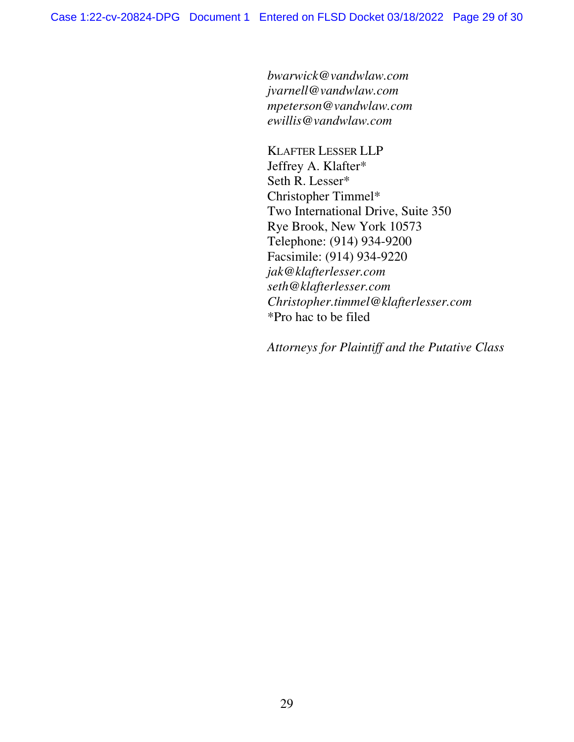*bwarwick@vandwlaw.com jvarnell@vandwlaw.com mpeterson@vandwlaw.com ewillis@vandwlaw.com* 

KLAFTER LESSER LLP Jeffrey A. Klafter\* Seth R. Lesser\* Christopher Timmel\* Two International Drive, Suite 350 Rye Brook, New York 10573 Telephone: (914) 934-9200 Facsimile: (914) 934-9220 *jak@klafterlesser.com seth@klafterlesser.com Christopher.timmel@klafterlesser.com*  \*Pro hac to be filed

*Attorneys for Plaintiff and the Putative Class*